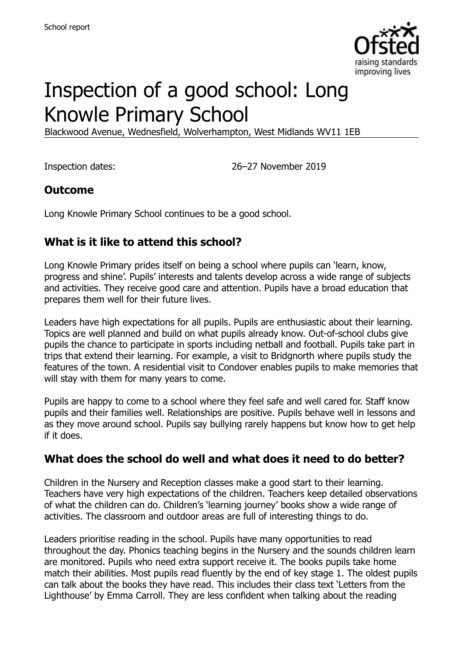

# Inspection of a good school: Long Knowle Primary School

Blackwood Avenue, Wednesfield, Wolverhampton, West Midlands WV11 1EB

Inspection dates: 26–27 November 2019

#### **Outcome**

Long Knowle Primary School continues to be a good school.

### **What is it like to attend this school?**

Long Knowle Primary prides itself on being a school where pupils can 'learn, know, progress and shine'. Pupils' interests and talents develop across a wide range of subjects and activities. They receive good care and attention. Pupils have a broad education that prepares them well for their future lives.

Leaders have high expectations for all pupils. Pupils are enthusiastic about their learning. Topics are well planned and build on what pupils already know. Out-of-school clubs give pupils the chance to participate in sports including netball and football. Pupils take part in trips that extend their learning. For example, a visit to Bridgnorth where pupils study the features of the town. A residential visit to Condover enables pupils to make memories that will stay with them for many years to come.

Pupils are happy to come to a school where they feel safe and well cared for. Staff know pupils and their families well. Relationships are positive. Pupils behave well in lessons and as they move around school. Pupils say bullying rarely happens but know how to get help if it does.

#### **What does the school do well and what does it need to do better?**

Children in the Nursery and Reception classes make a good start to their learning. Teachers have very high expectations of the children. Teachers keep detailed observations of what the children can do. Children's 'learning journey' books show a wide range of activities. The classroom and outdoor areas are full of interesting things to do.

Leaders prioritise reading in the school. Pupils have many opportunities to read throughout the day. Phonics teaching begins in the Nursery and the sounds children learn are monitored. Pupils who need extra support receive it. The books pupils take home match their abilities. Most pupils read fluently by the end of key stage 1. The oldest pupils can talk about the books they have read. This includes their class text 'Letters from the Lighthouse' by Emma Carroll. They are less confident when talking about the reading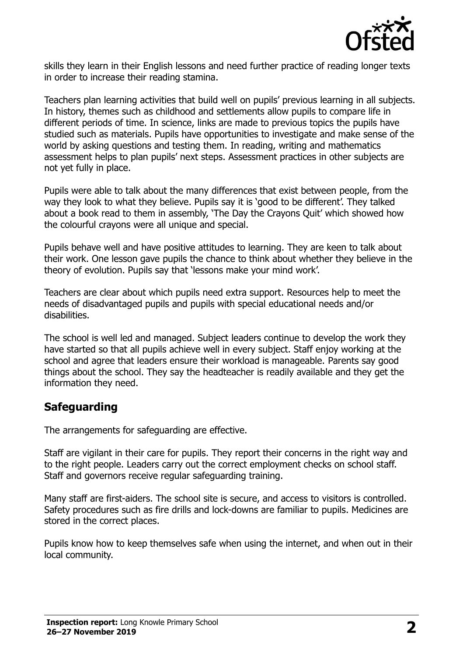

skills they learn in their English lessons and need further practice of reading longer texts in order to increase their reading stamina.

Teachers plan learning activities that build well on pupils' previous learning in all subjects. In history, themes such as childhood and settlements allow pupils to compare life in different periods of time. In science, links are made to previous topics the pupils have studied such as materials. Pupils have opportunities to investigate and make sense of the world by asking questions and testing them. In reading, writing and mathematics assessment helps to plan pupils' next steps. Assessment practices in other subjects are not yet fully in place.

Pupils were able to talk about the many differences that exist between people, from the way they look to what they believe. Pupils say it is 'good to be different'. They talked about a book read to them in assembly, 'The Day the Crayons Quit' which showed how the colourful crayons were all unique and special.

Pupils behave well and have positive attitudes to learning. They are keen to talk about their work. One lesson gave pupils the chance to think about whether they believe in the theory of evolution. Pupils say that 'lessons make your mind work'.

Teachers are clear about which pupils need extra support. Resources help to meet the needs of disadvantaged pupils and pupils with special educational needs and/or disabilities.

The school is well led and managed. Subject leaders continue to develop the work they have started so that all pupils achieve well in every subject. Staff enjoy working at the school and agree that leaders ensure their workload is manageable. Parents say good things about the school. They say the headteacher is readily available and they get the information they need.

#### **Safeguarding**

The arrangements for safeguarding are effective.

Staff are vigilant in their care for pupils. They report their concerns in the right way and to the right people. Leaders carry out the correct employment checks on school staff. Staff and governors receive regular safeguarding training.

Many staff are first-aiders. The school site is secure, and access to visitors is controlled. Safety procedures such as fire drills and lock-downs are familiar to pupils. Medicines are stored in the correct places.

Pupils know how to keep themselves safe when using the internet, and when out in their local community.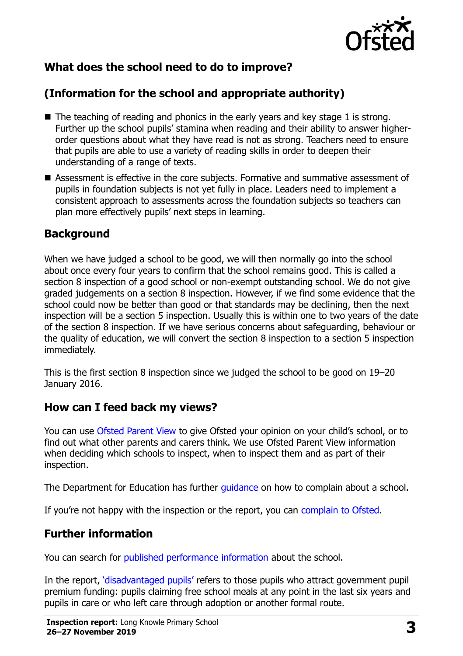

# **What does the school need to do to improve?**

# **(Information for the school and appropriate authority)**

- $\blacksquare$  The teaching of reading and phonics in the early years and key stage 1 is strong. Further up the school pupils' stamina when reading and their ability to answer higherorder questions about what they have read is not as strong. Teachers need to ensure that pupils are able to use a variety of reading skills in order to deepen their understanding of a range of texts.
- Assessment is effective in the core subjects. Formative and summative assessment of pupils in foundation subjects is not yet fully in place. Leaders need to implement a consistent approach to assessments across the foundation subjects so teachers can plan more effectively pupils' next steps in learning.

#### **Background**

When we have judged a school to be good, we will then normally go into the school about once every four years to confirm that the school remains good. This is called a section 8 inspection of a good school or non-exempt outstanding school. We do not give graded judgements on a section 8 inspection. However, if we find some evidence that the school could now be better than good or that standards may be declining, then the next inspection will be a section 5 inspection. Usually this is within one to two years of the date of the section 8 inspection. If we have serious concerns about safeguarding, behaviour or the quality of education, we will convert the section 8 inspection to a section 5 inspection immediately.

This is the first section 8 inspection since we judged the school to be good on 19–20 January 2016.

#### **How can I feed back my views?**

You can use [Ofsted Parent View](https://parentview.ofsted.gov.uk/) to give Ofsted your opinion on your child's school, or to find out what other parents and carers think. We use Ofsted Parent View information when deciding which schools to inspect, when to inspect them and as part of their inspection.

The Department for Education has further [guidance](http://www.gov.uk/complain-about-school) on how to complain about a school.

If you're not happy with the inspection or the report, you can [complain to Ofsted.](https://www.gov.uk/complain-ofsted-report)

#### **Further information**

You can search for [published performance information](http://www.compare-school-performance.service.gov.uk/) about the school.

In the report, '[disadvantaged pupils](http://www.gov.uk/guidance/pupil-premium-information-for-schools-and-alternative-provision-settings)' refers to those pupils who attract government pupil premium funding: pupils claiming free school meals at any point in the last six years and pupils in care or who left care through adoption or another formal route.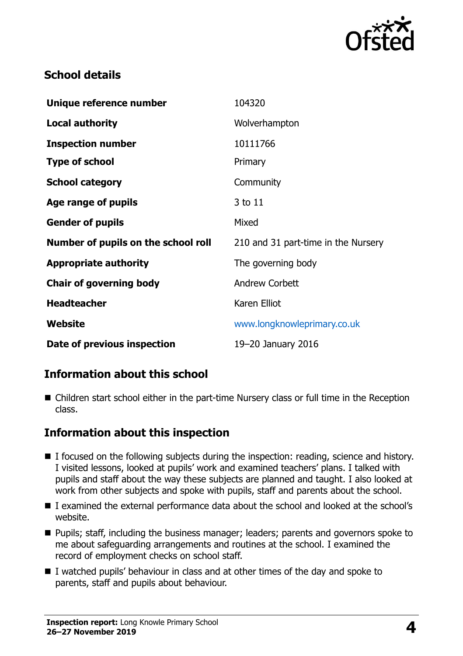

# **School details**

| Unique reference number             | 104320                              |
|-------------------------------------|-------------------------------------|
| <b>Local authority</b>              | Wolverhampton                       |
| <b>Inspection number</b>            | 10111766                            |
| <b>Type of school</b>               | Primary                             |
| <b>School category</b>              | Community                           |
| Age range of pupils                 | 3 to 11                             |
| <b>Gender of pupils</b>             | Mixed                               |
| Number of pupils on the school roll | 210 and 31 part-time in the Nursery |
| <b>Appropriate authority</b>        | The governing body                  |
| <b>Chair of governing body</b>      | <b>Andrew Corbett</b>               |
| <b>Headteacher</b>                  | Karen Elliot                        |
| Website                             | www.longknowleprimary.co.uk         |
| Date of previous inspection         | 19-20 January 2016                  |

# **Information about this school**

■ Children start school either in the part-time Nursery class or full time in the Reception class.

#### **Information about this inspection**

- I focused on the following subjects during the inspection: reading, science and history. I visited lessons, looked at pupils' work and examined teachers' plans. I talked with pupils and staff about the way these subjects are planned and taught. I also looked at work from other subjects and spoke with pupils, staff and parents about the school.
- I examined the external performance data about the school and looked at the school's website.
- Pupils; staff, including the business manager; leaders; parents and governors spoke to me about safeguarding arrangements and routines at the school. I examined the record of employment checks on school staff.
- I watched pupils' behaviour in class and at other times of the day and spoke to parents, staff and pupils about behaviour.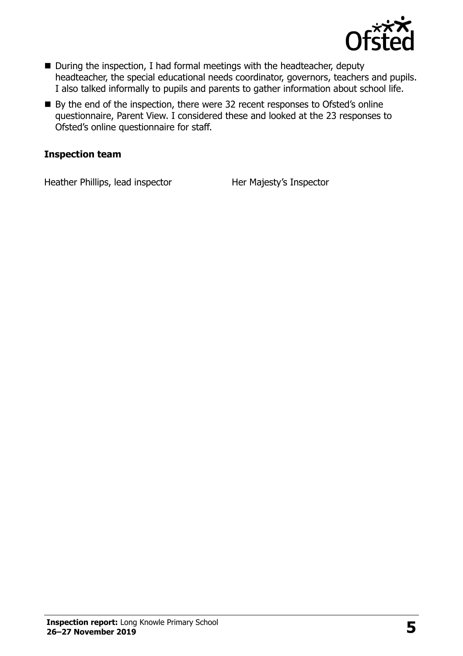

- During the inspection, I had formal meetings with the headteacher, deputy headteacher, the special educational needs coordinator, governors, teachers and pupils. I also talked informally to pupils and parents to gather information about school life.
- By the end of the inspection, there were 32 recent responses to Ofsted's online questionnaire, Parent View. I considered these and looked at the 23 responses to Ofsted's online questionnaire for staff.

#### **Inspection team**

Heather Phillips, lead inspector Her Majesty's Inspector